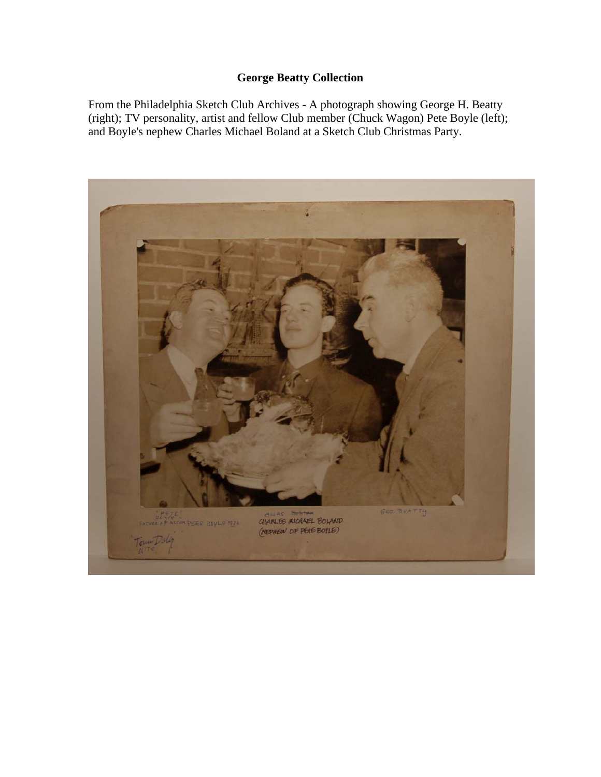## **George Beatty Collection**

From the Philadelphia Sketch Club Archives - A photograph showing George H. Beatty (right); TV personality, artist and fellow Club member (Chuck Wagon) Pete Boyle (left); and Boyle's nephew Charles Michael Boland at a Sketch Club Christmas Party.

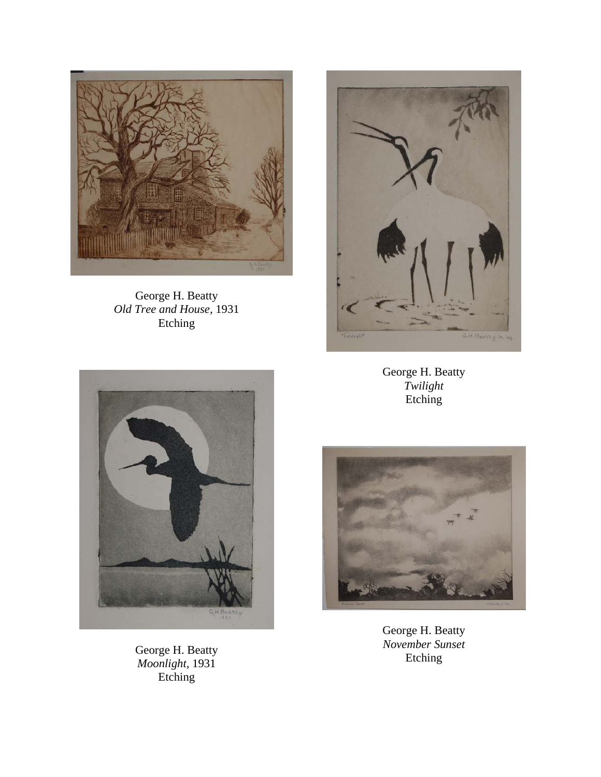

George H. Beatty *Old Tree and House,* 1931 Etching



George H. Beatty *Twilight*  Etching



George H. Beatty *Moonlight,* 1931 Etching



George H. Beatty *November Sunset*  Etching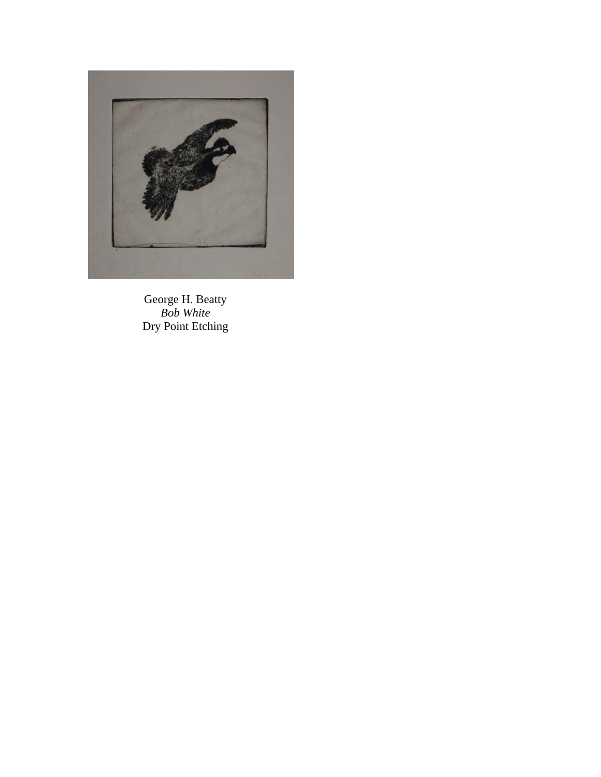

George H. Beatty *Bob White*  Dry Point Etching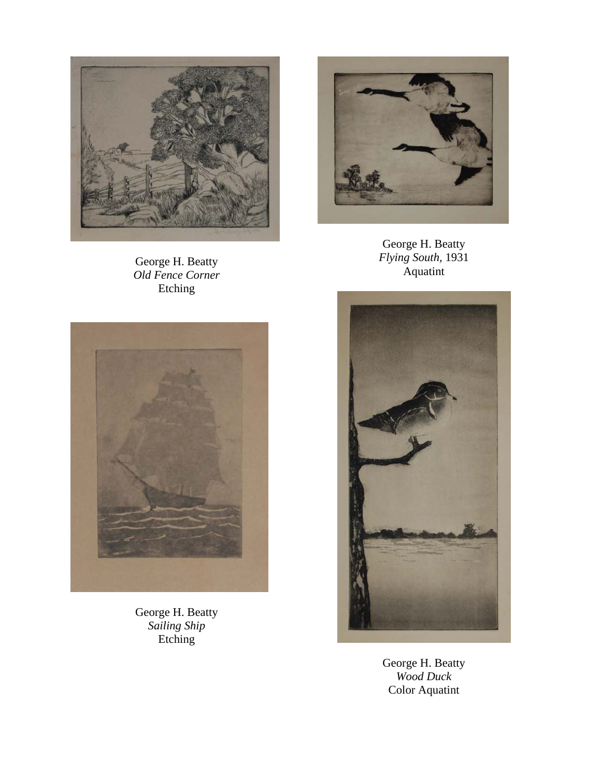

George H. Beatty *Old Fence Corner*  Etching



George H. Beatty *Flying South,* 1931 Aquatint



George H. Beatty *Sailing Ship*  Etching



George H. Beatty *Wood Duck*  Color Aquatint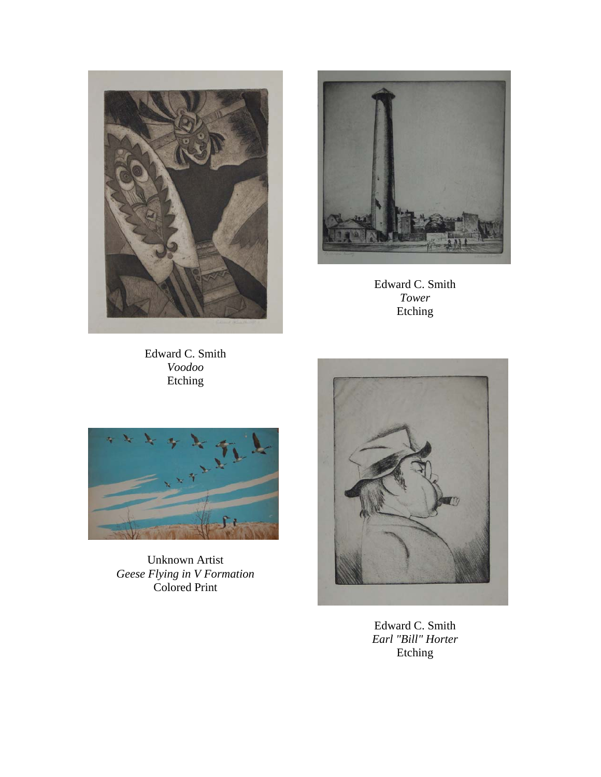



Edward C. Smith *Tower*  Etching

Edward C. Smith *Voodoo*  Etching



Unknown Artist *Geese Flying in V Formation*  Colored Print



Edward C. Smith *Earl "Bill" Horter*  Etching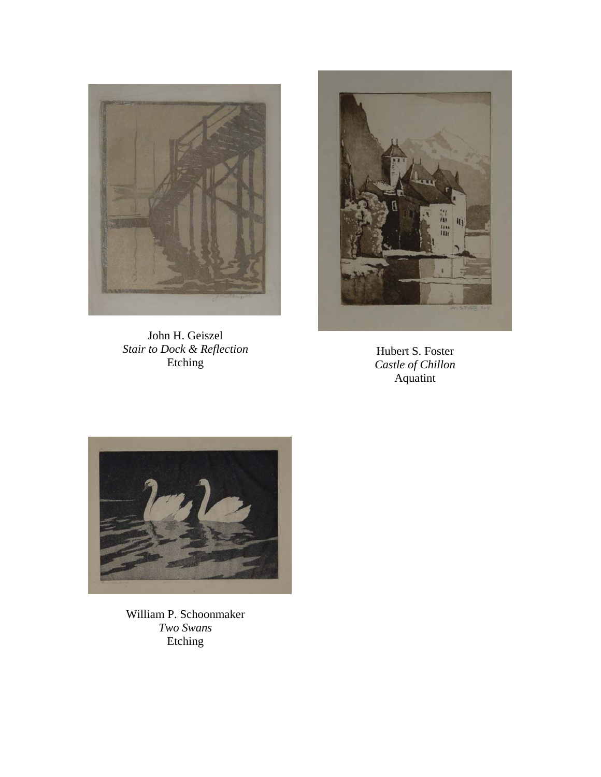

John H. Geiszel *Stair to Dock & Reflection*  Etching



Hubert S. Foster *Castle of Chillon*  Aquatint



William P. Schoonmaker *Two Swans*  Etching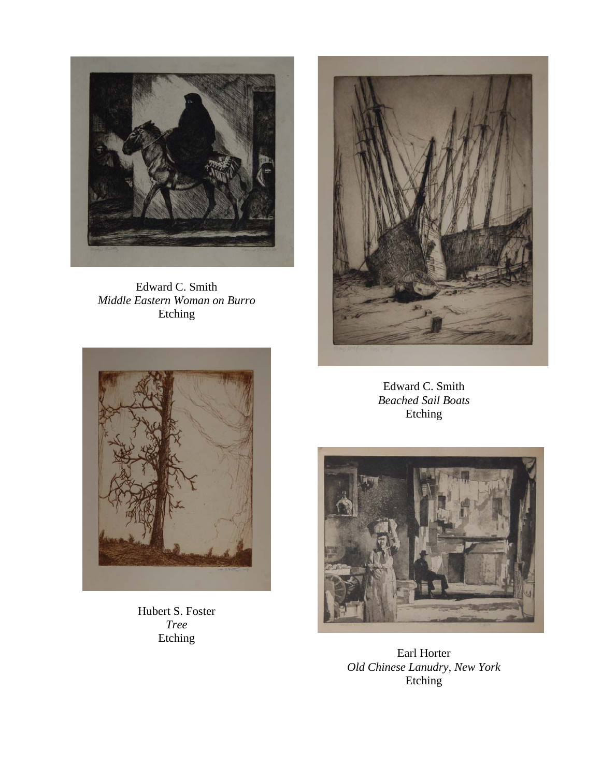

Edward C. Smith *Middle Eastern Woman on Burro*  Etching



Hubert S. Foster *Tree*  Etching



Edward C. Smith *Beached Sail Boats*  Etching



Earl Horter *Old Chinese Lanudry, New York*  Etching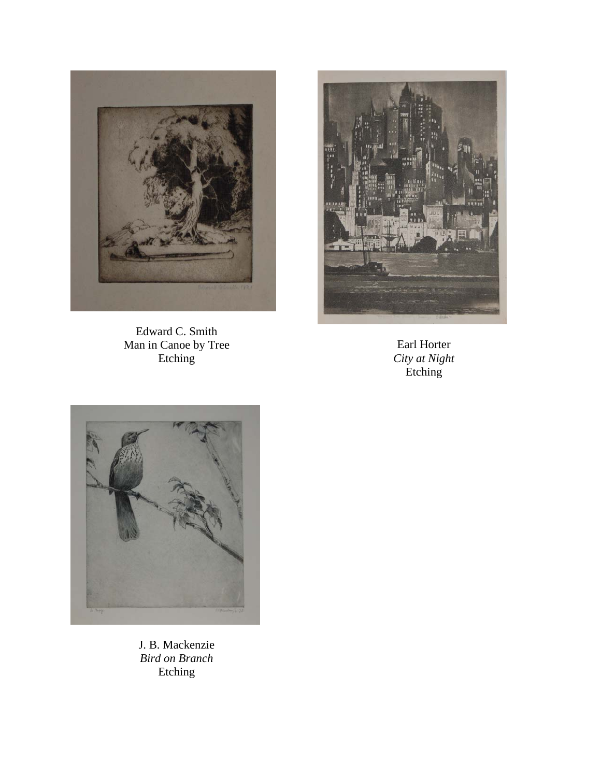

Edward C. Smith Man in Canoe by Tree Etching



Earl Horter *City at Night*  Etching



J. B. Mackenzie *Bird on Branch*  Etching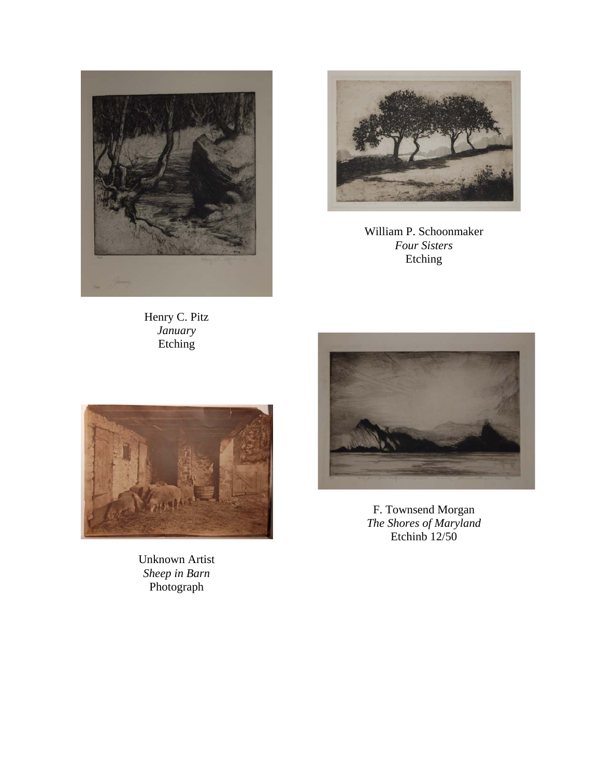

William P. Schoonmaker *Four Sisters*  Etching

Henry C. Pitz *January*  Etching



F. Townsend Morgan *The Shores of Maryland*  Etchinb  $12/50$ 



Unknown Artist *Sheep in Barn*  Photograph